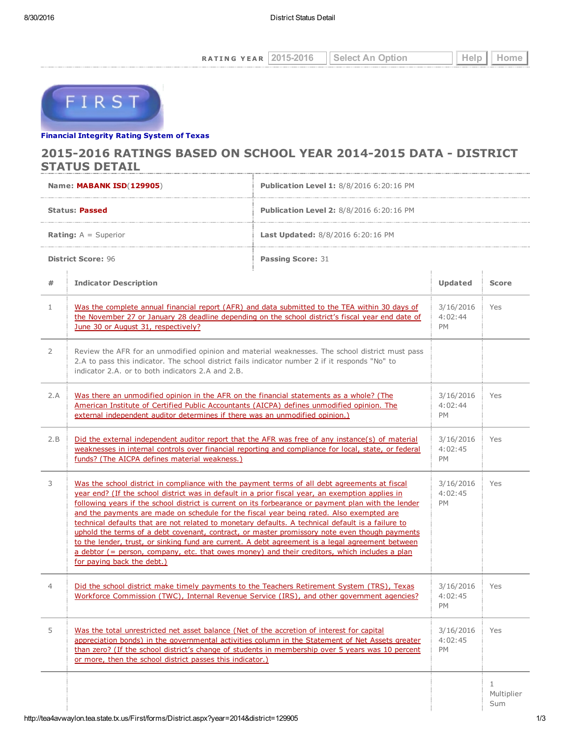RATING YEAR 2015-2016 Select An Option Help | Home



## Financial [Integrity](http://tea4avwaylon.tea.state.tx.us/First/forms/main.aspx) Rating System of Texas

## 2015-2016 RATINGS BASED ON SCHOOL YEAR 2014-2015 DATA - DISTRICT STATUS DETAIL

|                               | Name: MABANK ISD(129905)                                                                                                                                                                                                                                                                                                                                                                                                                                                                                                                                                                                                                                                                                                                                                                                                                       | <b>Publication Level 1: 8/8/2016 6:20:16 PM</b> |                                   |                        |
|-------------------------------|------------------------------------------------------------------------------------------------------------------------------------------------------------------------------------------------------------------------------------------------------------------------------------------------------------------------------------------------------------------------------------------------------------------------------------------------------------------------------------------------------------------------------------------------------------------------------------------------------------------------------------------------------------------------------------------------------------------------------------------------------------------------------------------------------------------------------------------------|-------------------------------------------------|-----------------------------------|------------------------|
| <b>Status: Passed</b>         |                                                                                                                                                                                                                                                                                                                                                                                                                                                                                                                                                                                                                                                                                                                                                                                                                                                | <b>Publication Level 2: 8/8/2016 6:20:16 PM</b> |                                   |                        |
| <b>Rating:</b> $A =$ Superior |                                                                                                                                                                                                                                                                                                                                                                                                                                                                                                                                                                                                                                                                                                                                                                                                                                                | <b>Last Updated: 8/8/2016 6:20:16 PM</b>        |                                   |                        |
| <b>District Score: 96</b>     |                                                                                                                                                                                                                                                                                                                                                                                                                                                                                                                                                                                                                                                                                                                                                                                                                                                | <b>Passing Score: 31</b>                        |                                   |                        |
| #                             | <b>Indicator Description</b>                                                                                                                                                                                                                                                                                                                                                                                                                                                                                                                                                                                                                                                                                                                                                                                                                   |                                                 | Updated                           | <b>Score</b>           |
| $\mathbf{1}$                  | Was the complete annual financial report (AFR) and data submitted to the TEA within 30 days of<br>the November 27 or January 28 deadline depending on the school district's fiscal year end date of<br>June 30 or August 31, respectively?                                                                                                                                                                                                                                                                                                                                                                                                                                                                                                                                                                                                     |                                                 | 3/16/2016<br>4:02:44<br><b>PM</b> | Yes                    |
| 2                             | Review the AFR for an unmodified opinion and material weaknesses. The school district must pass<br>2.A to pass this indicator. The school district fails indicator number 2 if it responds "No" to<br>indicator 2.A. or to both indicators 2.A and 2.B.                                                                                                                                                                                                                                                                                                                                                                                                                                                                                                                                                                                        |                                                 |                                   |                        |
| 2.A                           | Was there an unmodified opinion in the AFR on the financial statements as a whole? (The<br>American Institute of Certified Public Accountants (AICPA) defines unmodified opinion. The<br>external independent auditor determines if there was an unmodified opinion.)                                                                                                                                                                                                                                                                                                                                                                                                                                                                                                                                                                          |                                                 | 3/16/2016<br>4:02:44<br><b>PM</b> | Yes                    |
| 2.B                           | Did the external independent auditor report that the AFR was free of any instance(s) of material<br>weaknesses in internal controls over financial reporting and compliance for local, state, or federal<br>funds? (The AICPA defines material weakness.)                                                                                                                                                                                                                                                                                                                                                                                                                                                                                                                                                                                      |                                                 | 3/16/2016<br>4:02:45<br>PM        | Yes                    |
| 3                             | Was the school district in compliance with the payment terms of all debt agreements at fiscal<br>year end? (If the school district was in default in a prior fiscal year, an exemption applies in<br>following years if the school district is current on its forbearance or payment plan with the lender<br>and the payments are made on schedule for the fiscal year being rated. Also exempted are<br>technical defaults that are not related to monetary defaults. A technical default is a failure to<br>uphold the terms of a debt covenant, contract, or master promissory note even though payments<br>to the lender, trust, or sinking fund are current. A debt agreement is a legal agreement between<br>a debtor (= person, company, etc. that owes money) and their creditors, which includes a plan<br>for paying back the debt.) |                                                 | 3/16/2016<br>4:02:45<br><b>PM</b> | Yes                    |
| 4                             | Did the school district make timely payments to the Teachers Retirement System (TRS), Texas<br>Workforce Commission (TWC), Internal Revenue Service (IRS), and other government agencies?                                                                                                                                                                                                                                                                                                                                                                                                                                                                                                                                                                                                                                                      |                                                 | 3/16/2016<br>4:02:45<br>PM        | Yes                    |
| 5                             | Was the total unrestricted net asset balance (Net of the accretion of interest for capital<br>appreciation bonds) in the governmental activities column in the Statement of Net Assets greater<br>than zero? (If the school district's change of students in membership over 5 years was 10 percent<br>or more, then the school district passes this indicator.)                                                                                                                                                                                                                                                                                                                                                                                                                                                                               |                                                 | 3/16/2016<br>4:02:45<br>PM        | Yes                    |
|                               |                                                                                                                                                                                                                                                                                                                                                                                                                                                                                                                                                                                                                                                                                                                                                                                                                                                |                                                 |                                   | 1<br>Multiplier<br>Sum |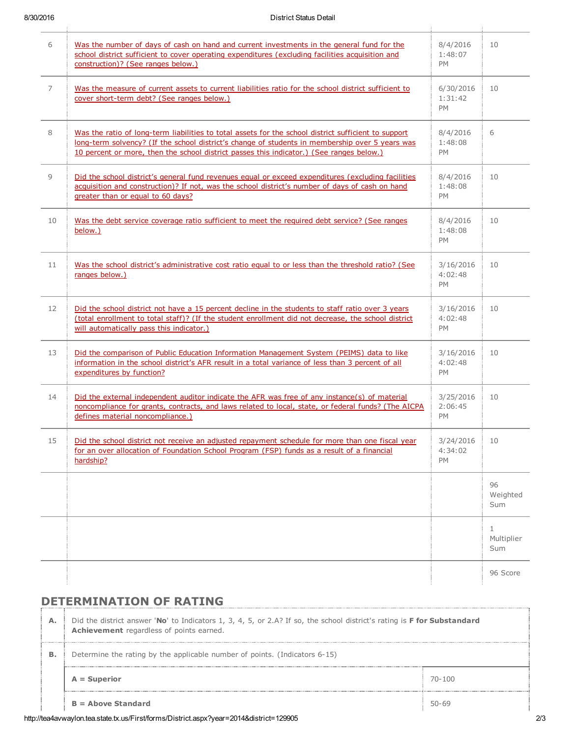| 6              | Was the number of days of cash on hand and current investments in the general fund for the<br>school district sufficient to cover operating expenditures (excluding facilities acquisition and<br>construction)? (See ranges below.)                                                                | 8/4/2016<br>1:48:07<br><b>PM</b>  | 10                                |
|----------------|-----------------------------------------------------------------------------------------------------------------------------------------------------------------------------------------------------------------------------------------------------------------------------------------------------|-----------------------------------|-----------------------------------|
| $\overline{7}$ | Was the measure of current assets to current liabilities ratio for the school district sufficient to<br>cover short-term debt? (See ranges below.)                                                                                                                                                  | 6/30/2016<br>1:31:42<br><b>PM</b> | 10                                |
| 8              | Was the ratio of long-term liabilities to total assets for the school district sufficient to support<br>long-term solvency? (If the school district's change of students in membership over 5 years was<br>10 percent or more, then the school district passes this indicator.) (See ranges below.) | 8/4/2016<br>1:48:08<br>PM.        | 6                                 |
| 9              | Did the school district's general fund revenues equal or exceed expenditures (excluding facilities<br>acquisition and construction)? If not, was the school district's number of days of cash on hand<br>greater than or equal to 60 days?                                                          | 8/4/2016<br>1:48:08<br><b>PM</b>  | 10                                |
| 10             | Was the debt service coverage ratio sufficient to meet the required debt service? (See ranges<br>below.)                                                                                                                                                                                            | 8/4/2016<br>1:48:08<br><b>PM</b>  | 10                                |
| 11             | Was the school district's administrative cost ratio equal to or less than the threshold ratio? (See<br>ranges below.)                                                                                                                                                                               | 3/16/2016<br>4:02:48<br>PM        | 10                                |
| 12             | Did the school district not have a 15 percent decline in the students to staff ratio over 3 years<br>(total enrollment to total staff)? (If the student enrollment did not decrease, the school district<br>will automatically pass this indicator.)                                                | 3/16/2016<br>4:02:48<br><b>PM</b> | 10                                |
| 13             | Did the comparison of Public Education Information Management System (PEIMS) data to like<br>information in the school district's AFR result in a total variance of less than 3 percent of all<br>expenditures by function?                                                                         | 3/16/2016<br>4:02:48<br><b>PM</b> | 10                                |
| 14             | Did the external independent auditor indicate the AFR was free of any instance(s) of material<br>noncompliance for grants, contracts, and laws related to local, state, or federal funds? (The AICPA<br>defines material noncompliance.)                                                            | 3/25/2016<br>2:06:45<br>PM        | 10                                |
| 15             | Did the school district not receive an adjusted repayment schedule for more than one fiscal year<br>for an over allocation of Foundation School Program (FSP) funds as a result of a financial<br>hardship?                                                                                         | 3/24/2016 10<br>4:34:02<br>PM     |                                   |
|                |                                                                                                                                                                                                                                                                                                     |                                   | 96<br>Weighted<br>Sum             |
|                |                                                                                                                                                                                                                                                                                                     |                                   | $\mathbf{1}$<br>Multiplier<br>Sum |
|                |                                                                                                                                                                                                                                                                                                     |                                   | 96 Score                          |

## DETERMINATION OF RATING

| Α. | Did the district answer 'No' to Indicators 1, 3, 4, 5, or 2.A? If so, the school district's rating is <b>F for Substandard</b><br>Achievement regardless of points earned. |            |  |
|----|----------------------------------------------------------------------------------------------------------------------------------------------------------------------------|------------|--|
| в. | Determine the rating by the applicable number of points. (Indicators 6-15)                                                                                                 |            |  |
|    | $A = Superior$                                                                                                                                                             | $70 - 100$ |  |
|    | $B =$ Above Standard                                                                                                                                                       | 50-69      |  |

٠,